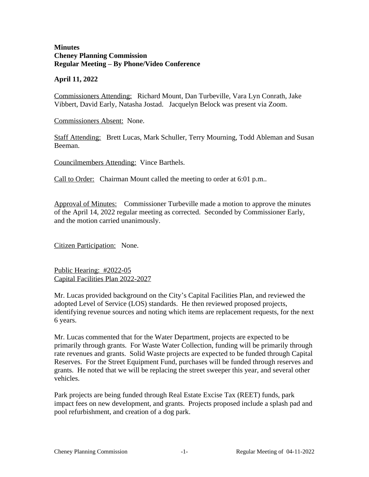## **Minutes Cheney Planning Commission Regular Meeting – By Phone/Video Conference**

## **April 11, 2022**

Commissioners Attending: Richard Mount, Dan Turbeville, Vara Lyn Conrath, Jake Vibbert, David Early, Natasha Jostad. Jacquelyn Belock was present via Zoom.

Commissioners Absent: None.

Staff Attending: Brett Lucas, Mark Schuller, Terry Mourning, Todd Ableman and Susan Beeman.

Councilmembers Attending: Vince Barthels.

Call to Order: Chairman Mount called the meeting to order at 6:01 p.m..

Approval of Minutes: Commissioner Turbeville made a motion to approve the minutes of the April 14, 2022 regular meeting as corrected. Seconded by Commissioner Early, and the motion carried unanimously.

Citizen Participation: None.

Public Hearing: #2022-05 Capital Facilities Plan 2022-2027

Mr. Lucas provided background on the City's Capital Facilities Plan, and reviewed the adopted Level of Service (LOS) standards. He then reviewed proposed projects, identifying revenue sources and noting which items are replacement requests, for the next 6 years.

Mr. Lucas commented that for the Water Department, projects are expected to be primarily through grants. For Waste Water Collection, funding will be primarily through rate revenues and grants. Solid Waste projects are expected to be funded through Capital Reserves. For the Street Equipment Fund, purchases will be funded through reserves and grants. He noted that we will be replacing the street sweeper this year, and several other vehicles.

Park projects are being funded through Real Estate Excise Tax (REET) funds, park impact fees on new development, and grants. Projects proposed include a splash pad and pool refurbishment, and creation of a dog park.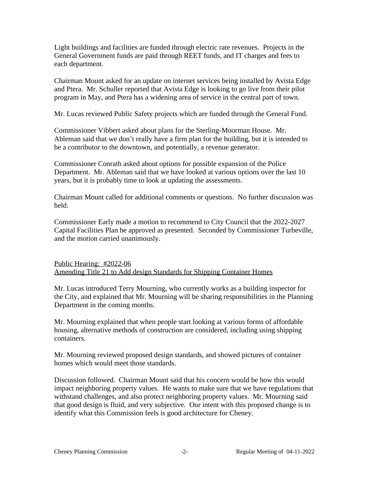Light buildings and facilities are funded through electric rate revenues. Projects in the General Government funds are paid through REET funds, and IT charges and fees to each department.

Chairman Mount asked for an update on internet services being installed by Avista Edge and Ptera. Mr. Schuller reported that Avista Edge is looking to go live from their pilot program in May, and Ptera has a widening area of service in the central part of town.

Mr. Lucas reviewed Public Safety projects which are funded through the General Fund.

Commissioner Vibbert asked about plans for the Sterling-Moorman House. Mr. Ableman said that we don't really have a firm plan for the building, but it is intended to be a contributor to the downtown, and potentially, a revenue generator.

Commissioner Conrath asked about options for possible expansion of the Police Department. Mr. Ableman said that we have looked at various options over the last 10 years, but it is probably time to look at updating the assessments.

Chairman Mount called for additional comments or questions. No further discussion was held.

Commissioner Early made a motion to recommend to City Council that the 2022-2027 Capital Facilities Plan be approved as presented. Seconded by Commissioner Turbeville, and the motion carried unanimously.

Public Hearing: #2022-06 Amending Title 21 to Add design Standards for Shipping Container Homes

Mr. Lucas introduced Terry Mourning, who currently works as a building inspector for the City, and explained that Mr. Mourning will be sharing responsibilities in the Planning Department in the coming months.

Mr. Mourning explained that when people start looking at various forms of affordable housing, alternative methods of construction are considered, including using shipping containers.

Mr. Mourning reviewed proposed design standards, and showed pictures of container homes which would meet those standards.

Discussion followed. Chairman Mount said that his concern would be how this would impact neighboring property values. He wants to make sure that we have regulations that withstand challenges, and also protect neighboring property values. Mr. Mourning said that good design is fluid, and very subjective. Our intent with this proposed change is to identify what this Commission feels is good architecture for Cheney.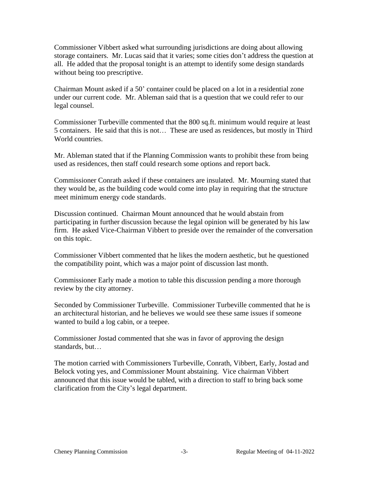Commissioner Vibbert asked what surrounding jurisdictions are doing about allowing storage containers. Mr. Lucas said that it varies; some cities don't address the question at all. He added that the proposal tonight is an attempt to identify some design standards without being too prescriptive.

Chairman Mount asked if a 50' container could be placed on a lot in a residential zone under our current code. Mr. Ableman said that is a question that we could refer to our legal counsel.

Commissioner Turbeville commented that the 800 sq.ft. minimum would require at least 5 containers. He said that this is not… These are used as residences, but mostly in Third World countries.

Mr. Ableman stated that if the Planning Commission wants to prohibit these from being used as residences, then staff could research some options and report back.

Commissioner Conrath asked if these containers are insulated. Mr. Mourning stated that they would be, as the building code would come into play in requiring that the structure meet minimum energy code standards.

Discussion continued. Chairman Mount announced that he would abstain from participating in further discussion because the legal opinion will be generated by his law firm. He asked Vice-Chairman Vibbert to preside over the remainder of the conversation on this topic.

Commissioner Vibbert commented that he likes the modern aesthetic, but he questioned the compatibility point, which was a major point of discussion last month.

Commissioner Early made a motion to table this discussion pending a more thorough review by the city attorney.

Seconded by Commissioner Turbeville. Commissioner Turbeville commented that he is an architectural historian, and he believes we would see these same issues if someone wanted to build a log cabin, or a teepee.

Commissioner Jostad commented that she was in favor of approving the design standards, but…

The motion carried with Commissioners Turbeville, Conrath, Vibbert, Early, Jostad and Belock voting yes, and Commissioner Mount abstaining. Vice chairman Vibbert announced that this issue would be tabled, with a direction to staff to bring back some clarification from the City's legal department.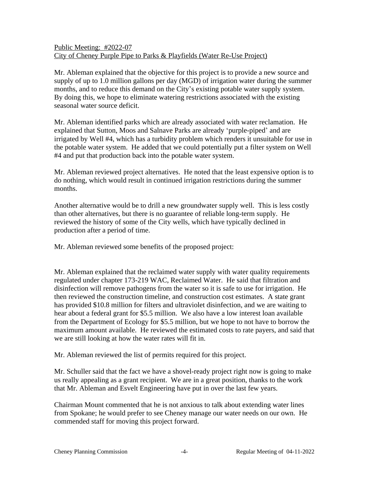## Public Meeting: #2022-07 City of Cheney Purple Pipe to Parks & Playfields (Water Re-Use Project)

Mr. Ableman explained that the objective for this project is to provide a new source and supply of up to 1.0 million gallons per day (MGD) of irrigation water during the summer months, and to reduce this demand on the City's existing potable water supply system. By doing this, we hope to eliminate watering restrictions associated with the existing seasonal water source deficit.

Mr. Ableman identified parks which are already associated with water reclamation. He explained that Sutton, Moos and Salnave Parks are already 'purple-piped' and are irrigated by Well #4, which has a turbidity problem which renders it unsuitable for use in the potable water system. He added that we could potentially put a filter system on Well #4 and put that production back into the potable water system.

Mr. Ableman reviewed project alternatives. He noted that the least expensive option is to do nothing, which would result in continued irrigation restrictions during the summer months.

Another alternative would be to drill a new groundwater supply well. This is less costly than other alternatives, but there is no guarantee of reliable long-term supply. He reviewed the history of some of the City wells, which have typically declined in production after a period of time.

Mr. Ableman reviewed some benefits of the proposed project:

Mr. Ableman explained that the reclaimed water supply with water quality requirements regulated under chapter 173-219 WAC, Reclaimed Water. He said that filtration and disinfection will remove pathogens from the water so it is safe to use for irrigation. He then reviewed the construction timeline, and construction cost estimates. A state grant has provided \$10.8 million for filters and ultraviolet disinfection, and we are waiting to hear about a federal grant for \$5.5 million. We also have a low interest loan available from the Department of Ecology for \$5.5 million, but we hope to not have to borrow the maximum amount available. He reviewed the estimated costs to rate payers, and said that we are still looking at how the water rates will fit in.

Mr. Ableman reviewed the list of permits required for this project.

Mr. Schuller said that the fact we have a shovel-ready project right now is going to make us really appealing as a grant recipient. We are in a great position, thanks to the work that Mr. Ableman and Esvelt Engineering have put in over the last few years.

Chairman Mount commented that he is not anxious to talk about extending water lines from Spokane; he would prefer to see Cheney manage our water needs on our own. He commended staff for moving this project forward.